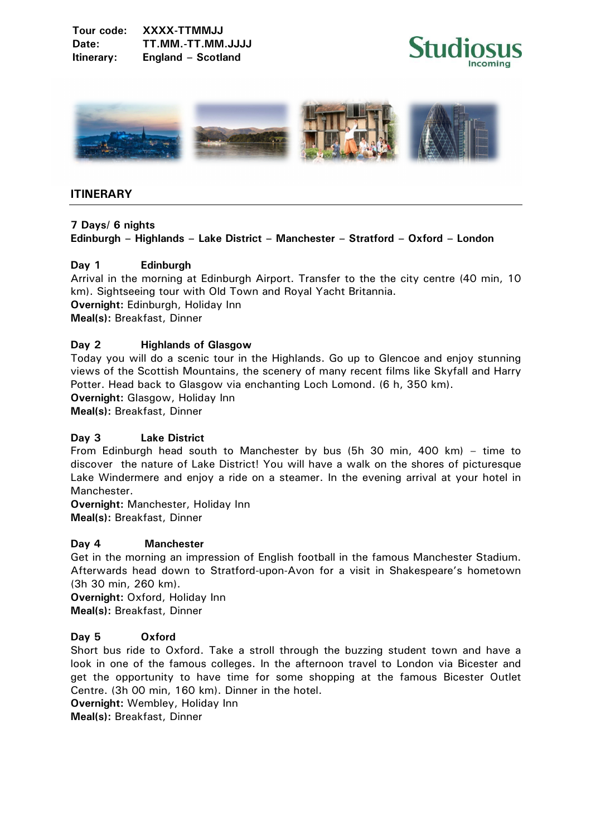



## **ITINERARY**

#### **7 Days/ 6 nights**

# **Edinburgh – Highlands – Lake District – Manchester – Stratford – Oxford – London**

## **Day 1 Edinburgh**

Arrival in the morning at Edinburgh Airport. Transfer to the the city centre (40 min, 10 km). Sightseeing tour with Old Town and Royal Yacht Britannia. **Overnight:** Edinburgh, Holiday Inn **Meal(s):** Breakfast, Dinner

## **Day 2 Highlands of Glasgow**

Today you will do a scenic tour in the Highlands. Go up to Glencoe and enjoy stunning views of the Scottish Mountains, the scenery of many recent films like Skyfall and Harry Potter. Head back to Glasgow via enchanting Loch Lomond. (6 h, 350 km). **Overnight: Glasgow, Holiday Inn.** 

**Meal(s):** Breakfast, Dinner

#### **Day 3 Lake District**

From Edinburgh head south to Manchester by bus (5h 30 min, 400 km) – time to discover the nature of Lake District! You will have a walk on the shores of picturesque Lake Windermere and enjoy a ride on a steamer. In the evening arrival at your hotel in Manchester.

**Overnight:** Manchester, Holiday Inn **Meal(s):** Breakfast, Dinner

#### **Day 4 Manchester**

Get in the morning an impression of English football in the famous Manchester Stadium. Afterwards head down to Stratford-upon-Avon for a visit in Shakespeare's hometown (3h 30 min, 260 km).

**Overnight:** Oxford, Holiday Inn **Meal(s):** Breakfast, Dinner

## **Day 5 Oxford**

Short bus ride to Oxford. Take a stroll through the buzzing student town and have a look in one of the famous colleges. In the afternoon travel to London via Bicester and get the opportunity to have time for some shopping at the famous Bicester Outlet Centre. (3h 00 min, 160 km). Dinner in the hotel.

**Overnight:** Wembley, Holiday Inn

**Meal(s):** Breakfast, Dinner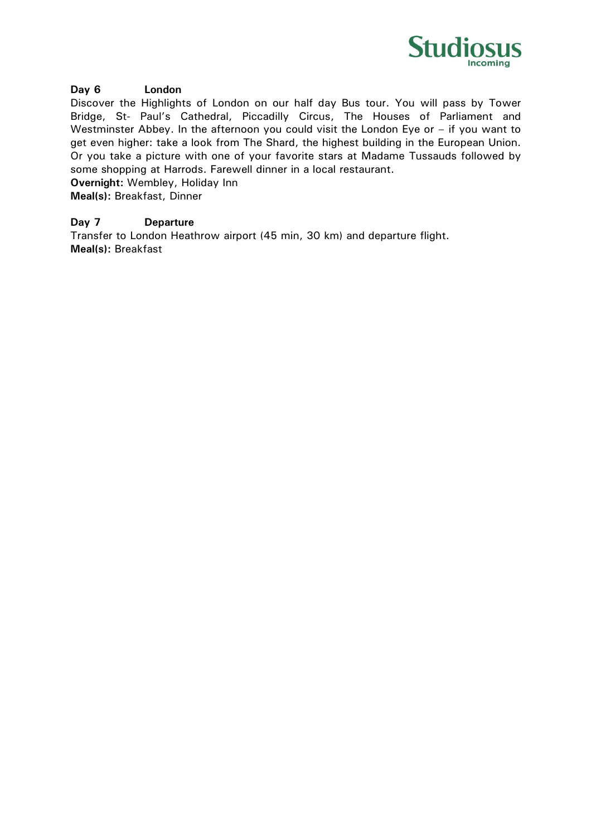

## **Day 6 London**

Discover the Highlights of London on our half day Bus tour. You will pass by Tower Bridge, St- Paul's Cathedral, Piccadilly Circus, The Houses of Parliament and Westminster Abbey. In the afternoon you could visit the London Eye or – if you want to get even higher: take a look from The Shard, the highest building in the European Union. Or you take a picture with one of your favorite stars at Madame Tussauds followed by some shopping at Harrods. Farewell dinner in a local restaurant.

**Overnight:** Wembley, Holiday Inn

**Meal(s):** Breakfast, Dinner

## **Day 7 Departure**

Transfer to London Heathrow airport (45 min, 30 km) and departure flight. **Meal(s):** Breakfast